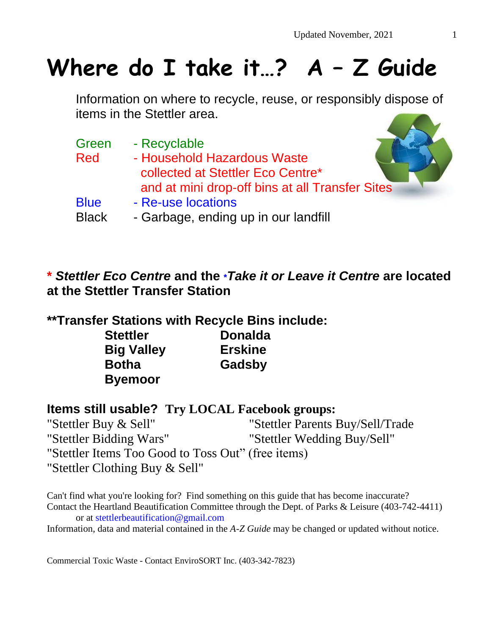# **Where do I take it…? A – Z Guide**

Information on where to recycle, reuse, or responsibly dispose of items in the Stettler area.

| Green<br><b>Red</b> | - Recyclable<br>- Household Hazardous Waste<br>collected at Stettler Eco Centre* |
|---------------------|----------------------------------------------------------------------------------|
|                     | and at mini drop-off bins at all Transfer Sites                                  |
| <b>Blue</b>         | - Re-use locations                                                               |
| <b>Black</b>        | - Garbage, ending up in our landfill                                             |

**\*** *Stettler Eco Centre* **and the \****Take it or Leave it Centre* **are located at the Stettler Transfer Station**

#### **\*\*Transfer Stations with Recycle Bins include:**

| <b>Stettler</b>   | <b>Donalda</b> |  |
|-------------------|----------------|--|
| <b>Big Valley</b> | <b>Erskine</b> |  |
| <b>Botha</b>      | Gadsby         |  |
| <b>Byemoor</b>    |                |  |

#### **Items still usable? Try LOCAL Facebook groups:**

"Stettler Buy & Sell" "Stettler Parents Buy/Sell/Trade "Stettler Bidding Wars" "Stettler Wedding Buy/Sell" "Stettler Items Too Good to Toss Out" (free items) "Stettler Clothing Buy & Sell"

Can't find what you're looking for? Find something on this guide that has become inaccurate? Contact the Heartland Beautification Committee through the Dept. of Parks & Leisure (403-742-4411) or at [stettlerbeautification@gmail.com](mailto:stettlerbeautification@gmail.com)

Information, data and material contained in the *A-Z Guide* may be changed or updated without notice.

Commercial Toxic Waste - Contact EnviroSORT Inc. (403-342-7823)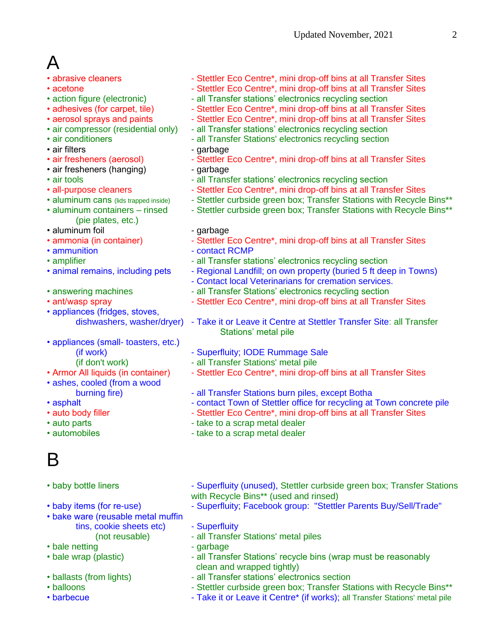# A

- 
- 
- 
- 
- 
- 
- 
- 
- 
- air fresheners (hanging) garbage
- 
- 
- 
- (pie plates, etc.)
- aluminum foil **compare** garbage
- 
- 
- 
- 
- 
- 
- appliances (fridges, stoves,
- appliances (small- toasters, etc.)
	-
	-
- 
- ashes, cooled (from a wood
- 
- 
- 
- 
- 

# B

- 
- 
- bake ware (reusable metal muffin tins, cookie sheets etc) - Superfluity
- 
- bale netting example a garbage
- 
- 
- 
- 
- abrasive cleaners Stettler Eco Centre\*, mini drop-off bins at all Transfer Sites
- acetone  **Stettler Eco Centre\*, mini drop-off bins at all Transfer Sites**
- action figure (electronic) all Transfer stations' electronics recycling section
- adhesives (for carpet, tile) Stettler Eco Centre\*, mini drop-off bins at all Transfer Sites
- aerosol sprays and paints Stettler Eco Centre\*, mini drop-off bins at all Transfer Sites
- air compressor (residential only) all Transfer stations' electronics recycling section
- air conditioners **a all Transfer Stations' electronics recycling section**
- air filters  **garbage**
- air fresheners (aerosol) Stettler Eco Centre\*, mini drop-off bins at all Transfer Sites
	-
- air tools **all Transfer stations' electronics recycling section**
- all-purpose cleaners Stettler Eco Centre\*, mini drop-off bins at all Transfer Sites
- aluminum cans (lids trapped inside) Stettler curbside green box; Transfer Stations with Recycle Bins\*\*
- aluminum containers rinsed Stettler curbside green box; Transfer Stations with Recycle Bins\*\*
	-
- ammonia (in container) Stettler Eco Centre\*, mini drop-off bins at all Transfer Sites
- ammunition **COND** contact RCMP
- amplifier  $\blacksquare$  all Transfer stations' electronics recycling section
- animal remains, including pets Regional Landfill; on own property (buried 5 ft deep in Towns)
	- Contact local Veterinarians for cremation services.
- answering machines all Transfer Stations' electronics recycling section
- ant/wasp spray  **Stettler Eco Centre**\*, mini drop-off bins at all Transfer Sites
	- dishwashers, washer/dryer) Take it or Leave it Centre at Stettler Transfer Site: all Transfer Stations' metal pile
	- (if work)  **Superfluity**; IODE Rummage Sale
	- (if don't work) all Transfer Stations' metal pile
- Armor All liquids (in container) Stettler Eco Centre\*, mini drop-off bins at all Transfer Sites
	- burning fire) all Transfer Stations burn piles, except Botha
- asphalt **Internal Contact Town of Stettler office for recycling at Town concrete pile**
- auto body filler  $\blacksquare$  Stettler Eco Centre\*, mini drop-off bins at all Transfer Sites
- auto parts  **take to a scrap metal dealer**
- automobiles **come take to a scrap metal dealer**
- baby bottle liners Superfluity (unused), Stettler curbside green box; Transfer Stations with Recycle Bins\*\* (used and rinsed)
- baby items (for re-use) Superfluity; Facebook group: "Stettler Parents Buy/Sell/Trade"
	-
	- (not reusable) all Transfer Stations' metal piles
		-
- bale wrap (plastic)  $\blacksquare$  all Transfer Stations' recycle bins (wrap must be reasonably clean and wrapped tightly)
- ballasts (from lights) all Transfer stations' electronics section
- balloons  **Stettler curbside green box**; Transfer Stations with Recycle Bins\*\*
- barbecue  **Take it or Leave it Centre\*** (if works); all Transfer Stations' metal pile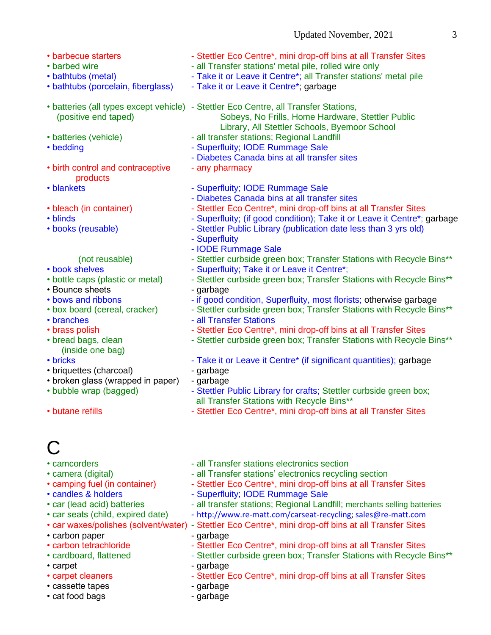- 
- 
- 
- 
- 
- 
- 
- birth control and contraceptive any pharmacy products
- 
- 
- 
- 

- 
- 
- Bounce sheets garbage
- 
- 
- 
- 
- (inside one bag)
- 
- briquettes (charcoal) garbage
- broken glass (wrapped in paper) garbage
- 
- 

# C

- 
- 
- 
- 
- 
- 
- 
- carbon paper qarbage
- 
- 
- 
- 
- cassette tapes garbage
- cat food bags example bagge of the garbage of the garbage of the garbage of the garbage of the garbage of the garbage of the garbage of the garbage of the garbage of the garbage of the garbage of the garbage of the garba
- barbecue starters Stettler Eco Centre\*, mini drop-off bins at all Transfer Sites
- barbed wire **come only** all Transfer stations' metal pile, rolled wire only
- bathtubs (metal) Take it or Leave it Centre\*; all Transfer stations' metal pile
- bathtubs (porcelain, fiberglass) Take it or Leave it Centre<sup>\*</sup>; garbage
- batteries (all types except vehicle) Stettler Eco Centre, all Transfer Stations, (positive end taped) Sobeys, No Frills, Home Hardware, Stettler Public Library, All Stettler Schools, Byemoor School
- batteries (vehicle)  $-$  all transfer stations; Regional Landfill
- bedding extensive propertivity; IODE Rummage Sale
	- Diabetes Canada bins at all transfer sites
	-
- blankets Superfluity; IODE Rummage Sale
	- Diabetes Canada bins at all transfer sites
- bleach (in container) Stettler Eco Centre\*, mini drop-off bins at all Transfer Sites
- blinds  **Superfluity**; (if good condition); Take it or Leave it Centre\*; garbage
- books (reusable) Stettler Public Library (publication date less than 3 yrs old)
	- Superfluity
	- IODE Rummage Sale
	- (not reusable) Stettler curbside green box; Transfer Stations with Recycle Bins\*\*
- book shelves Superfluity; Take it or Leave it Centre\*;
- bottle caps (plastic or metal) Stettler curbside green box; Transfer Stations with Recycle Bins\*\*
- bows and ribbons if good condition, Superfluity, most florists; otherwise garbage
- box board (cereal, cracker) Stettler curbside green box; Transfer Stations with Recycle Bins\*\*
- branches  **all Transfer Stations**
- brass polish  **Stettler Eco Centre\*, mini drop-off bins at all Transfer Sites**
- bread bags, clean  $\blacksquare$  Stettler curbside green box; Transfer Stations with Recycle Bins\*\*
- bricks Take it or Leave it Centre\* (if significant quantities); garbage
	-
	-
- bubble wrap (bagged) Stettler Public Library for crafts; Stettler curbside green box; all Transfer Stations with Recycle Bins\*\*
- butane refills  $\blacksquare$  Stettler Eco Centre\*, mini drop-off bins at all Transfer Sites
- camcorders  $\bullet$  all Transfer stations electronics section
- camera (digital)  $\blacksquare$  all Transfer stations' electronics recycling section
- camping fuel (in container) Stettler Eco Centre\*, mini drop-off bins at all Transfer Sites
- candles & holders Superfluity; IODE Rummage Sale
- car (lead acid) batteries all transfer stations; Regional Landfill; merchants selling batteries
- car seats (child, expired date) [http://www.re-matt.com/carseat-recycling;](http://www.re-matt.com/carseat-recycling) [sales@re-matt.com](mailto:sales@re-matt.com)
- car waxes/polishes (solvent/water) Stettler Eco Centre\*, mini drop-off bins at all Transfer Sites
- carbon tetrachloride Stettler Eco Centre\*, mini drop-off bins at all Transfer Sites
- cardboard, flattened Stettler curbside green box; Transfer Stations with Recycle Bins\*\*
- carpet garbage
- carpet cleaners Stettler Eco Centre\*, mini drop-off bins at all Transfer Sites
	-
	-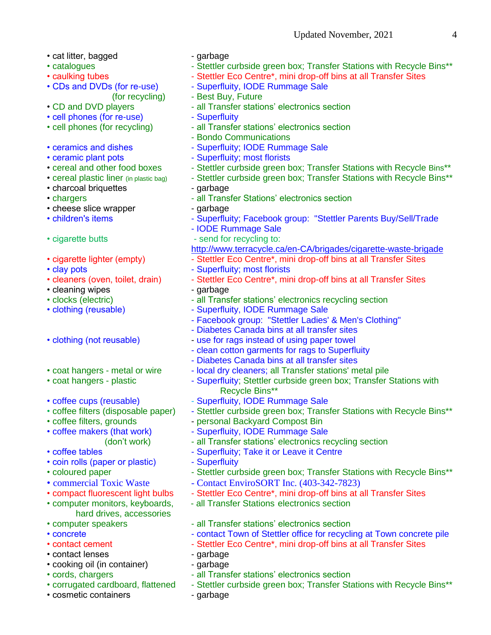- cat litter, bagged garbage
- 
- 
- 
- 
- cell phones (for re-use) Superfluity
- 
- 
- 
- 
- 
- charcoal briquettes garbage
- 
- cheese slice wrapper garbage
- 
- 
- 
- 
- 
- cleaning wipes qarbage
- 
- 
- 
- 
- 
- 
- 
- 
- 
- 
- coin rolls (paper or plastic) Superfluity
- 
- 
- 
- hard drives, accessories
- 
- 
- 
- contact lenses example the set of garbage
- cooking oil (in container) garbage
- 
- 
- cosmetic containers qarbage
- 
- catalogues Stettler curbside green box; Transfer Stations with Recycle Bins\*\*
- caulking tubes Stettler Eco Centre\*, mini drop-off bins at all Transfer Sites
- CDs and DVDs (for re-use) Superfluity, IODE Rummage Sale
	- (for recycling) Best Buy, Future
- CD and DVD players all Transfer stations' electronics section
	-
- cell phones (for recycling) all Transfer stations' electronics section
	- Bondo Communications
- ceramics and dishes Superfluity; IODE Rummage Sale
- ceramic plant pots **contains a superfluity**; most florists
- cereal and other food boxes Stettler curbside green box; Transfer Stations with Recycle Bins\*\*
- cereal plastic liner (in plastic bag) Stettler curbside green box; Transfer Stations with Recycle Bins\*\*
	-
- chargers  **all Transfer Stations' electronics section** 
	-
- children's items Superfluity; Facebook group: "Stettler Parents Buy/Sell/Trade
	- IODE Rummage Sale
- cigarette butts send for recycling to:
	- <http://www.terracycle.ca/en-CA/brigades/cigarette-waste-brigade>
- cigarette lighter (empty) Stettler Eco Centre\*, mini drop-off bins at all Transfer Sites
- clay pots **contains a container and container of Superfluity**; most florists
- cleaners (oven, toilet, drain) Stettler Eco Centre\*, mini drop-off bins at all Transfer Sites
	-
- clocks (electric)  $-$  all Transfer stations' electronics recycling section
- clothing (reusable) The Superfluity, IODE Rummage Sale
	- Facebook group: "Stettler Ladies' & Men's Clothing"
	- Diabetes Canada bins at all transfer sites
- clothing (not reusable) use for rags instead of using paper towel
	- clean cotton garments for rags to Superfluity
	- Diabetes Canada bins at all transfer sites
- coat hangers metal or wire local dry cleaners; all Transfer stations' metal pile
- coat hangers plastic Superfluity; Stettler curbside green box; Transfer Stations with Recycle Bins\*\*
- coffee cups (reusable) Superfluity, IODE Rummage Sale
- coffee filters (disposable paper) Stettler curbside green box; Transfer Stations with Recycle Bins\*\*
- coffee filters, grounds personal Backyard Compost Bin
- coffee makers (that work) Superfluity, IODE Rummage Sale
	- (don't work) all Transfer stations' electronics recycling section
- coffee tables  **Superfluity: Take it or Leave it Centre** 
	-
- coloured paper The Stettler curbside green box; Transfer Stations with Recycle Bins\*\*
- commercial Toxic Waste Contact EnviroSORT Inc. (403-342-7823)
- compact fluorescent light bulbs Stettler Eco Centre\*, mini drop-off bins at all Transfer Sites
- computer monitors, keyboards, all Transfer Stations electronics section
- computer speakers all Transfer stations' electronics section
- concrete  $\blacksquare$  contact Town of Stettler office for recycling at Town concrete pile
- contact cement Stettler Eco Centre\*, mini drop-off bins at all Transfer Sites
	-
	-
- cords, chargers all Transfer stations' electronics section
- corrugated cardboard, flattened Stettler curbside green box; Transfer Stations with Recycle Bins\*\*
	-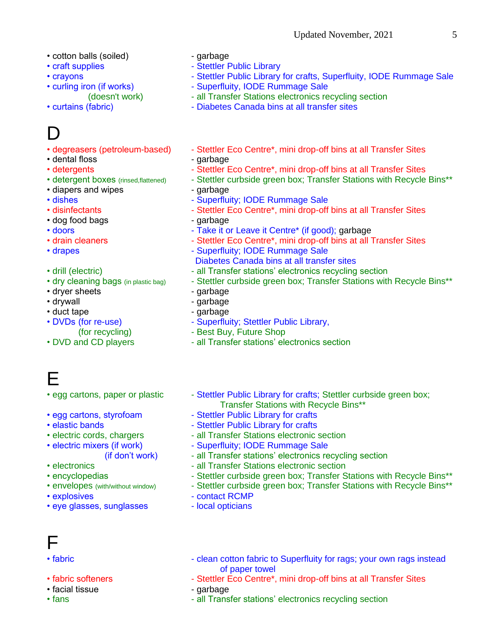- cotton balls (soiled) garbage
- 
- 
- 
- 

# $\Box$

- 
- dental floss contains the contract of the darbage of the data of the contract of the data of the data of the data of the data of the data of the data of the data of the data of the data of the data of the data of the dat
- 
- 
- diapers and wipes **come contains the container** garbage
- 
- 
- dog food bags extended by the state of garbage
- 
- 
- 
- 
- 
- dryer sheets garbage
- drywall expression of the contract of the garbage of the contract of the garbage of the garbage of the contract of the garbage of the garbage of the contract of the garbage of the garbage of the garbage of the garbage of
- duct tape  $\overline{\phantom{a}}$  garbage
- 
- 
- 

### E

- 
- 
- 
- 
- 
- 
- 
- 
- 
- 
- eye glasses, sunglasses local opticians
- 
- craft supplies Stettler Public Library
- crayons **Calcular Crack Constructs** Stettler Public Library for crafts, Superfluity, IODE Rummage Sale
- curling iron (if works)  **Superfluity, IODE Rummage Sale** 
	- (doesn't work) all Transfer Stations electronics recycling section
- curtains (fabric) **Canada bins at all transfer sites** Diabetes Canada bins at all transfer sites
- degreasers (petroleum-based) Stettler Eco Centre\*, mini drop-off bins at all Transfer Sites
- detergents Stettler Eco Centre\*, mini drop-off bins at all Transfer Sites
- detergent boxes (rinsed,flattened) Stettler curbside green box; Transfer Stations with Recycle Bins\*\*
	-
- dishes  **Superfluity**; IODE Rummage Sale
- disinfectants Stettler Eco Centre\*, mini drop-off bins at all Transfer Sites
	-
- doors **come in the U.S. Come is the Take it or Leave it Centre\*** (if good); garbage
- drain cleaners Stettler Eco Centre\*, mini drop-off bins at all Transfer Sites
- drapes **contains the Community** Superfluity; IODE Rummage Sale
	- Diabetes Canada bins at all transfer sites
- drill (electric) **and Transfer stations' electronics recycling section**
- dry cleaning bags (in plastic bag) Stettler curbside green box; Transfer Stations with Recycle Bins\*\*
	-
	-
	-
- DVDs (for re-use) Superfluity; Stettler Public Library,
	- (for recycling)  **Best Buy, Future Shop**
- DVD and CD players all Transfer stations' electronics section
- egg cartons, paper or plastic Stettler Public Library for crafts; Stettler curbside green box; Transfer Stations with Recycle Bins\*\*
- egg cartons, styrofoam Stettler Public Library for crafts
- elastic bands  **Stettler Public Library for crafts**
- electric cords, chargers all Transfer Stations electronic section
- electric mixers (if work) Superfluity; IODE Rummage Sale
	- (if don't work) all Transfer stations' electronics recycling section
- electronics **Contains 1998** all Transfer Stations electronic section
- encyclopedias  **Stettler curbside green box**; Transfer Stations with Recycle Bins\*\*
- \* envelopes (with/without window) Stettler curbside green box; Transfer Stations with Recycle Bins\*\*
- explosives **COLLECTIVE CONTACT FIND F** contact RCMP
	-

# F

- 
- 
- facial tissue garbage
- 
- fabric **Fabric 1998** clean cotton fabric to Superfluity for rags; your own rags instead of paper towel
- fabric softeners Stettler Eco Centre\*, mini drop-off bins at all Transfer Sites
	-
- fans **Fans** all Transfer stations' electronics recycling section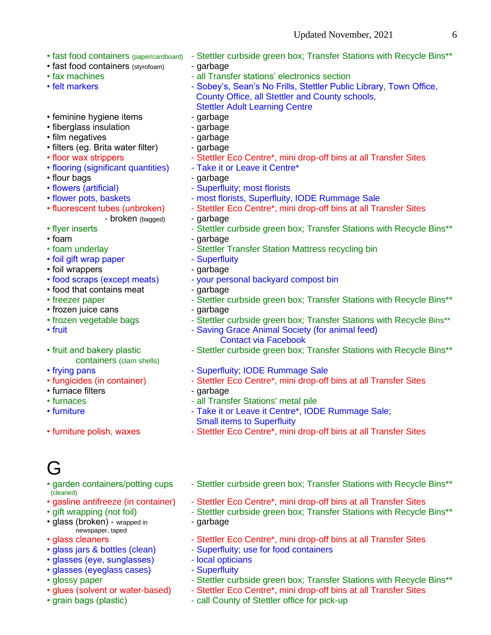- 
- fast food containers (styrofoam) garbage
- 
- 
- feminine hygiene items garbage
- fiberglass insulation garbage
- film negatives garbage
- filters (eq. Brita water filter) garbage
- 
- flooring (significant quantities) Take it or Leave it Centre\*
- flour bags contract to the garbage of the garbage of the garbage of the garbage of the garbage of the garbage
- 
- 
- - broken (bagged) garbage
- 
- 
- 
- foil gift wrap paper Superfluity
- foil wrappers garbage
- 
- food that contains meat qarbage
- 
- frozen juice cans garbage
- 
- 
- containers (clam shells)
- 
- 
- furnace filters garbage
- 
- 
- 
- l -i
- (cleaned)
- 
- glass (broken) wrapped in garbage
- newspaper, taped
- 
- glasses (eye, sunglasses) local opticians
- glasses (eyeglass cases) Superfluity
- 
- 
- 
- fast food containers (paper/cardboard) Stettler curbside green box; Transfer Stations with Recycle Bins\*\*
	-
- fax machines  $\cdot$  all Transfer stations' electronics section
- felt markers **Face Community Community** Sobey's, Sean's No Frills, Stettler Public Library, Town Office, County Office, all Stettler and County schools, Stettler Adult Learning Centre
	-
	-
	-
	-
- floor wax strippers Stettler Eco Centre\*, mini drop-off bins at all Transfer Sites
	-
	-
- flowers (artificial)  $\blacksquare$  Superfluity; most florists
- flower pots, baskets most florists, Superfluity, IODE Rummage Sale
- fluorescent tubes (unbroken) Stettler Eco Centre\*, mini drop-off bins at all Transfer Sites
	-
- flyer inserts **All and Stephen Communist Communist Communist Communist Communist Communist Communist Communist Communist Communist Communist Communist Communist Communist Communist Communist Communist Communist Communist**
- foam extended a garbage garbage
- foam underlay external resolution Stettler Transfer Station Mattress recycling bin
	-
	-
- food scraps (except meats) your personal backyard compost bin
	-
- freezer paper The Stettler curbside green box; Transfer Stations with Recycle Bins\*\*
	-
- frozen vegetable bags Stettler curbside green box; Transfer Stations with Recycle Bins\*\*
- fruit **Fruit Contract Contract Animal Society (for animal feed)** Contact via Facebook
- fruit and bakery plastic Stettler curbside green box; Transfer Stations with Recycle Bins\*\*
- frying pans **Frying pans** Superfluity; IODE Rummage Sale
- fungicides (in container) Stettler Eco Centre\*, mini drop-off bins at all Transfer Sites
	-
- furnaces all Transfer Stations' metal pile
- furniture Take it or Leave it Centre\*, IODE Rummage Sale; Small items to Superfluity
- furniture polish, waxes Stettler Eco Centre\*, mini drop-off bins at all Transfer Sites
- garden containers/potting cups Stettler curbside green box; Transfer Stations with Recycle Bins\*\*
- gasline antifreeze (in container) Stettler Eco Centre\*, mini drop-off bins at all Transfer Sites
- gift wrapping (not foil) Stettler curbside green box; Transfer Stations with Recycle Bins\*\*
	-
- glass cleaners Stettler Eco Centre\*, mini drop-off bins at all Transfer Sites
- glass jars & bottles (clean) Superfluity; use for food containers
	-
	-
- glossy paper  **Stettler curbside green box**; Transfer Stations with Recycle Bins\*\*
- glues (solvent or water-based) Stettler Eco Centre\*, mini drop-off bins at all Transfer Sites
- grain bags (plastic)  $\blacksquare$  call County of Stettler office for pick-up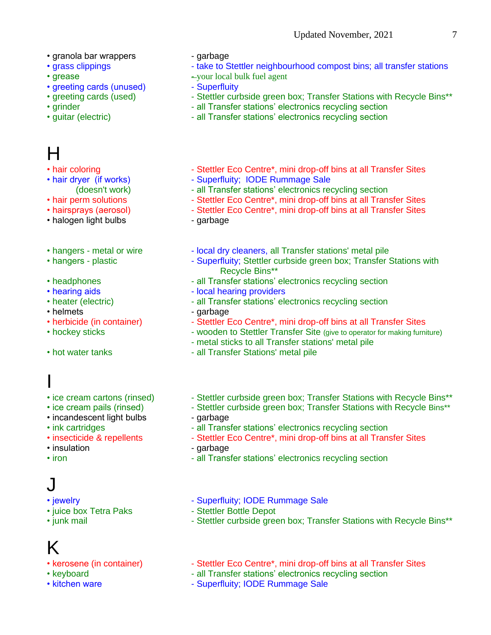- granola bar wrappers garbage
- 
- 
- greeting cards (unused) Superfluity<br>• greeting cards (used) Stettler cur
- 
- 
- 

# H

- 
- 
- 
- 
- 
- halogen light bulbs garbage
- 
- 
- 
- 
- 
- 
- 
- 
- 

# I

- 
- 
- incandescent light bulbs garbage
- 
- 
- 
- 

# J

- 
- juice box Tetra Paks Stettler Bottle Depot
- 

# K

- 
- 
- 
- 
- grass clippings Take to Stettler neighbourhood compost bins; all transfer stations
- grease  $-$  your local bulk fuel agent
	-
	- Stettler curbside green box; Transfer Stations with Recycle Bins\*\*
- grinder **Contract Contract Contract Contract Contract Contract Contract Contract Contract Contract Contract Contract Contract Contract Contract Contract Contract Contract Contract Contract Contract Contract Contract Cont**
- quitar (electric)  $\blacksquare$  all Transfer stations' electronics recycling section
- hair coloring  $\blacksquare$  Stettler Eco Centre\*, mini drop-off bins at all Transfer Sites
- hair dryer (if works) Superfluity; IODE Rummage Sale
	- (doesn't work) all Transfer stations' electronics recycling section
- hair perm solutions Stettler Eco Centre\*, mini drop-off bins at all Transfer Sites
- hairsprays (aerosol) Stettler Eco Centre\*, mini drop-off bins at all Transfer Sites
	-
- hangers metal or wire local dry cleaners, all Transfer stations' metal pile
- hangers plastic  **Superfluity**; Stettler curbside green box; Transfer Stations with Recycle Bins\*\*
- headphones all Transfer stations' electronics recycling section
- hearing aids  **local hearing providers**
- heater (electric) all Transfer stations' electronics recycling section
- helmets garbage
- herbicide (in container) Stettler Eco Centre\*, mini drop-off bins at all Transfer Sites
- hockey sticks  $\cdot$  wooden to Stettler Transfer Site (give to operator for making furniture)
	- metal sticks to all Transfer stations' metal pile
- hot water tanks all Transfer Stations' metal pile
- ice cream cartons (rinsed) Stettler curbside green box; Transfer Stations with Recycle Bins\*\*
- ice cream pails (rinsed) Stettler curbside green box; Transfer Stations with Recycle Bins\*\*
	-
- ink cartridges The Stations' electronics recycling section
- insecticide & repellents Stettler Eco Centre\*, mini drop-off bins at all Transfer Sites
- insulation  **garbage**
- iron **Fig. 2018** Transfer stations' electronics recycling section
- jewelry **Communist Communist Communist Communist Communist Communist Communist Communist Communist Communist Communist Communist Communist Communist Communist Communist Communist Communist Communist Communist Communist C** 
	-
- junk mail **Interpretent Controller Stettler curbside green box**; Transfer Stations with Recycle Bins\*\*
- kerosene (in container) Stettler Eco Centre\*, mini drop-off bins at all Transfer Sites
- keyboard **Internal 2008** all Transfer stations' electronics recycling section
- kitchen ware  **Superfluity**; IODE Rummage Sale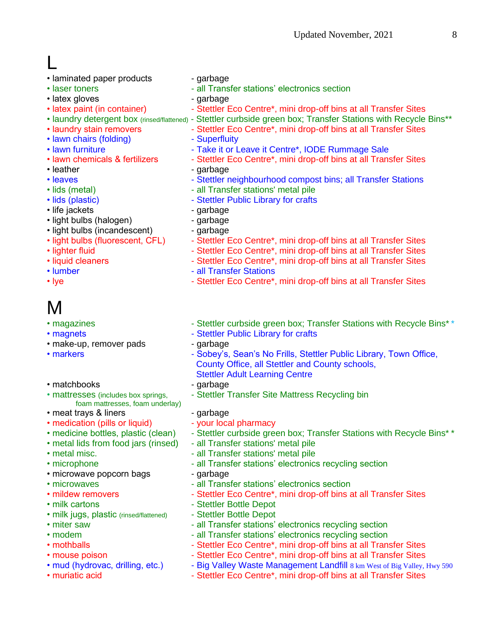L

- laminated paper products garbage
- 
- latex gloves extended by the company of the garbage of the state of the garbage of the garbage of the state of the garbage of the state of the garbage of the garbage of the state of the garbage of the garbage of the garb
- 
- 
- 
- lawn chairs (folding) Superfluity
- 
- 
- 
- 
- 
- 
- life jackets garbage
- light bulbs (halogen) garbage
- light bulbs (incandescent) garbage
- 
- 
- 
- 
- 

# M

- 
- 
- make-up, remover pads garbage
- 
- matchbooks garbage
- foam mattresses, foam underlay)
- meat trays & liners garbage
- medication (pills or liquid) your local pharmacy
- 
- 
- 
- 
- microwave popcorn bags garbage
- 
- 
- 
- milk jugs, plastic (rinsed/flattened) Stettler Bottle Depot
- 
- 
- 
- 
- 
- 
- 
- laser toners example all Transfer stations' electronics section
	-
- latex paint (in container) Stettler Eco Centre\*, mini drop-off bins at all Transfer Sites
- laundry detergent box (rinsed/flattened) Stettler curbside green box; Transfer Stations with Recycle Bins\*\*
- laundry stain removers Stettler Eco Centre\*, mini drop-off bins at all Transfer Sites
	-
- lawn furniture Take it or Leave it Centre\*, IODE Rummage Sale
- lawn chemicals & fertilizers Stettler Eco Centre\*, mini drop-off bins at all Transfer Sites
- leather example a garbage garbage
- leaves  **Stettler neighbourhood compost bins; all Transfer Stations**
- lids (metal)  $-$  all Transfer stations' metal pile
- lids (plastic)  **Stettler Public Library for crafts** 
	-
	-
	-
- light bulbs (fluorescent, CFL) Stettler Eco Centre\*, mini drop-off bins at all Transfer Sites
- lighter fluid **Communist Communist Communist Communist Communist Communist Communist Communist Communist Communist Communist Communist Communist Communist Communist Communist Communist Communist Communist Communist Commu**
- liquid cleaners Stettler Eco Centre\*, mini drop-off bins at all Transfer Sites
- lumber all Transfer Stations
- lye Stettler Eco Centre\*, mini drop-off bins at all Transfer Sites
- magazines  $\blacksquare$  Stettler curbside green box; Transfer Stations with Recycle Bins\*\*
- magnets  **Stettler Public Library for crafts** 
	-
- markers **Access 20 Times Access 20 Times 20 Sobey's, Sean's No Frills, Stettler Public Library, Town Office,** County Office, all Stettler and County schools,
	- Stettler Adult Learning Centre
	-
- mattresses (includes box springs, Facturer Transfer Site Mattress Recycling bin
	-
	-
- medicine bottles, plastic (clean) Stettler curbside green box; Transfer Stations with Recycle Bins\*\*
- metal lids from food jars (rinsed) all Transfer stations' metal pile
- metal misc.  $\blacksquare$  all Transfer stations' metal pile
- microphone  **all Transfer stations' electronics recycling section** 
	-
- microwaves **All Transfer stations' electronics section •** all Transfer stations' electronics section
- mildew removers Stettler Eco Centre\*, mini drop-off bins at all Transfer Sites
- milk cartons  **Stettler Bottle Depot** 
	-
- miter saw  **all Transfer stations' electronics recycling section**
- modem  $\blacksquare$  all Transfer stations' electronics recycling section
- mothballs **Interpreter Acts** Stettler Eco Centre<sup>\*</sup>, mini drop-off bins at all Transfer Sites
- mouse poison  **Stettler Eco Centre\*, mini drop-off bins at all Transfer Sites**
- mud (hydrovac, drilling, etc.) Big Valley Waste Management Landfill 8 km West of Big Valley, Hwy 590
- muriatic acid  **Stettler Eco Centre\*, mini drop-off bins at all Transfer Sites**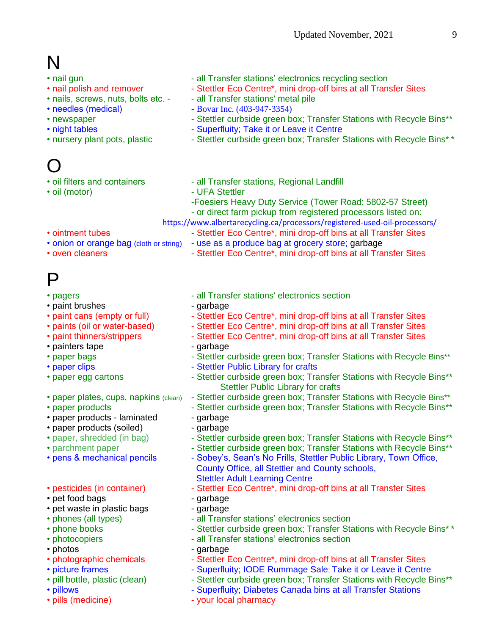# N

- nail gun  **all Transfer stations' electronics recycling section**
- nail polish and remover Stettler Eco Centre\*, mini drop-off bins at all Transfer Sites
- nails, screws, nuts, bolts etc. - all Transfer stations' metal pile
- needles (medical) Bovar Inc. (403-947-3354)
- newspaper Stettler curbside green box; Transfer Stations with Recycle Bins\*\*
- night tables  **Superfluity**; Take it or Leave it Centre
- nursery plant pots, plastic Stettler curbside green box; Transfer Stations with Recycle Bins\*\*

# O

- 
- 
- 
- oil filters and containers all Transfer stations, Regional Landfill
- oil (motor)  **UFA Stettler** 
	- -Foesiers Heavy Duty Service (Tower Road: 5802-57 Street) - or direct farm pickup from registered processors listed on:
	- <https://www.albertarecycling.ca/processors/registered-used-oil-processors/>
- ointment tubes Stettler Eco Centre\*, mini drop-off bins at all Transfer Sites
- onion or orange bag (cloth or string) use as a produce bag at grocery store; garbage
- oven cleaners  **Stettler Eco Centre\*, mini drop-off bins at all Transfer Sites**

# P

- 
- paint brushes garbage
- 
- 
- 
- painters tape garbage
- 
- 
- 
- 
- 
- paper products laminated garbage
- paper products (soiled) garbage
- 
- 
- 
- 
- pet food bags extended by a garbage of the set of the set of the set of the set of the set of the set of the set of the set of the set of the set of the set of the set of the set of the set of the set of the set of the s
- pet waste in plastic bags garbage
- 
- 
- 
- 
- 
- 
- 
- 
- 
- pagers  **all Transfer stations' electronics section** 
	-
- paint cans (empty or full) Stettler Eco Centre\*, mini drop-off bins at all Transfer Sites
- paints (oil or water-based) Stettler Eco Centre\*, mini drop-off bins at all Transfer Sites
- paint thinners/strippers Stettler Eco Centre\*, mini drop-off bins at all Transfer Sites
	-
- paper bags The Stettler curbside green box; Transfer Stations with Recycle Bins\*\*
- paper clips **compared 10 and 10 and 10 and 10 and 10 and 10 and 10 and 10 and 10 and 10 and 10 and 10 and 10 and 10 and 10 and 10 and 10 and 10 and 10 and 10 and 10 and 10 and 10 and 10 and 10 and 10 and 10 and 10 and 10**
- paper egg cartons Stettler curbside green box; Transfer Stations with Recycle Bins\*\* Stettler Public Library for crafts
- paper plates, cups, napkins (clean) Stettler curbside green box; Transfer Stations with Recycle Bins\*\*
- paper products  **Stettler curbside green box; Transfer Stations with Recycle Bins\*\*** 
	-
	-
- paper, shredded (in bag) Stettler curbside green box; Transfer Stations with Recycle Bins\*\*
- parchment paper The Stettler curbside green box; Transfer Stations with Recycle Bins\*\*
- pens & mechanical pencils Sobey's, Sean's No Frills, Stettler Public Library, Town Office, County Office, all Stettler and County schools,
- Stettler Adult Learning Centre<br>
 pesticides (in container) The Stettler Eco Centre\*, mini drop - Stettler Eco Centre\*, mini drop-off bins at all Transfer Sites
	-
	-
- phones (all types)  $\overline{\phantom{a}}$  all Transfer stations' electronics section
- phone books Stettler curbside green box; Transfer Stations with Recycle Bins\* \*
- photocopiers  **all Transfer stations' electronics section** all Transfer stations' electronics section
- photos extended a garbage garbage
- photographic chemicals Stettler Eco Centre\*, mini drop-off bins at all Transfer Sites
- picture frames The Superfluity; IODE Rummage Sale; Take it or Leave it Centre
- pill bottle, plastic (clean) Stettler curbside green box; Transfer Stations with Recycle Bins\*\*
- pillows **Canada bins at all Transfer Stations** Superfluity; Diabetes Canada bins at all Transfer Stations
- pills (medicine)  $-$  your local pharmacy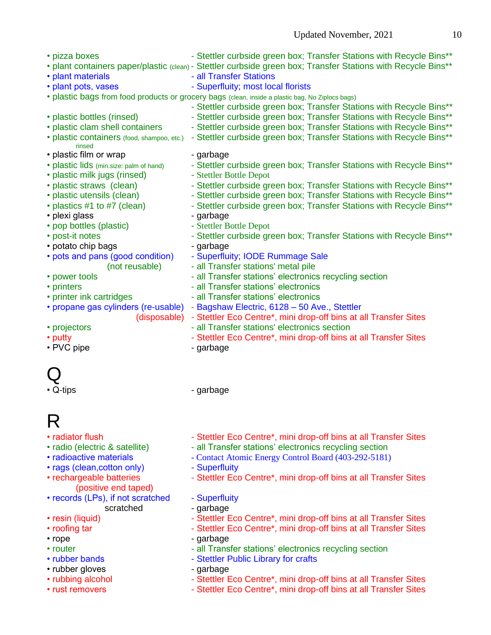• pizza boxes **- Stettler curbside green box; Transfer Stations with Recycle Bins\*\*** • plant containers paper/plastic (clean) - Stettler curbside green box; Transfer Stations with Recycle Bins\*\* • plant materials **and Contact Contact Contact Area** - all Transfer Stations • plant pots, vases - Superfluity; most local florists • plastic bags from food products or grocery bags (clean, inside a plastic bag, No Ziplocs bags) - Stettler curbside green box; Transfer Stations with Recycle Bins\*\* • plastic bottles (rinsed) - Stettler curbside green box; Transfer Stations with Recycle Bins\*\* • plastic clam shell containers - Stettler curbside green box; Transfer Stations with Recycle Bins\*\* • plastic containers (food, shampoo, etc.) - Stettler curbside green box; Transfer Stations with Recycle Bins\*\* rinsed • plastic film or wrap - qarbage • plastic lids (min.size: palm of hand) - Stettler curbside green box; Transfer Stations with Recycle Bins\*\* • plastic milk jugs (rinsed) - Stettler Bottle Depot • plastic straws (clean) - Stettler curbside green box; Transfer Stations with Recycle Bins\*\* • plastic utensils (clean) - Stettler curbside green box; Transfer Stations with Recycle Bins\*\* • plastics #1 to #7 (clean) - Stettler curbside green box; Transfer Stations with Recycle Bins\*\* • plexi glass - garbage • pop bottles (plastic) - Stettler Bottle Depot • post-it notes **- Stettler curbside green box; Transfer Stations with Recycle Bins\*\*** • potato chip bags contract the garbage of the garbage • pots and pans (good condition) - Superfluity; IODE Rummage Sale (not reusable) - all Transfer stations' metal pile • power tools **contained a station in the section** - all Transfer stations' electronics recycling section • printers • all Transfer stations' electronics • printer ink cartridges - all Transfer stations' electronics • propane gas cylinders (re-usable) - Bagshaw Electric, 6128 – 50 Ave., Stettler (disposable) - Stettler Eco Centre\*, mini drop-off bins at all Transfer Sites • projectors **COV** - all Transfer stations' electronics section • putty **Interpreter and Transfer Stettler Eco Centre**\*, mini drop-off bins at all Transfer Sites • PVC pipe  $-$  garbage

# Q

• Q-tips - garbage

# R

- 
- 
- 
- rags (clean, cotton only) Superfluity
- (positive end taped)
- records (LPs), if not scratched Superfluity scratched - garbage
- 
- 
- 
- 
- 
- rubber gloves garbage
- 
- 
- radiator flush  $\blacksquare$  Stettler Eco Centre\*, mini drop-off bins at all Transfer Sites
- radio (electric & satellite) all Transfer stations' electronics recycling section
- radioactive materials Contact Atomic Energy Control Board (403-292-5181)
	-
- rechargeable batteries Stettler Eco Centre\*, mini drop-off bins at all Transfer Sites
	-
	-
- resin (liquid) Stettler Eco Centre\*, mini drop-off bins at all Transfer Sites
- roofing tar  $\blacksquare$  Stettler Eco Centre\*, mini drop-off bins at all Transfer Sites
- rope garbage
- router  $\blacksquare$  all Transfer stations' electronics recycling section
- rubber bands  **Stettler Public Library for crafts** 
	-
- rubbing alcohol Stettler Eco Centre\*, mini drop-off bins at all Transfer Sites
- rust removers  **Stettler Eco Centre\*, mini drop-off bins at all Transfer Sites**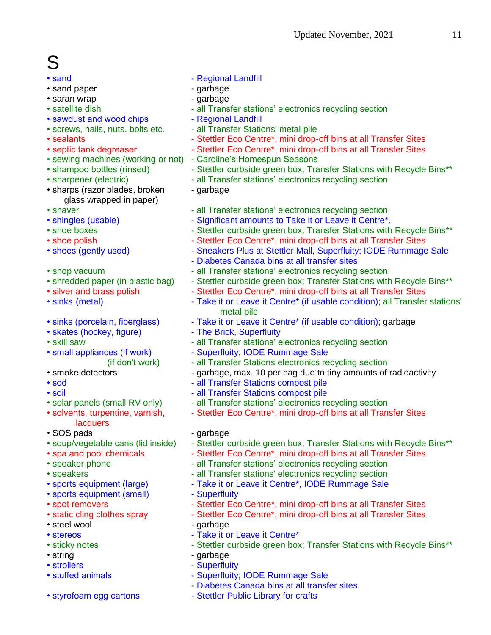# S

- sand paper garbage
- saran wrap  $\bullet$  garbage
- 
- sawdust and wood chips Regional Landfill
- 
- 
- 
- sewing machines (working or not) Caroline's Homespun Seasons
- 
- 
- sharps (razor blades, broken garbage glass wrapped in paper)
- 
- 
- 
- 
- 
- 
- 
- 
- 
- 
- skates (hockey, figure) The Brick, Superfluity
- 
- 
- 
- 
- 
- 
- lacquers
- SOS pads garbage
- 
- 
- 
- 
- 
- sports equipment (small) Superfluity
- 
- 
- steel wool example a garbage
- 
- 
- 
- strollers  **Superfluity**
- 
- 
- sand  **Regional Landfill** 
	-
	-
- satellite dish  $\bullet$  all Transfer stations' electronics recycling section
	-
- screws, nails, nuts, bolts etc. all Transfer Stations' metal pile
- sealants **Interpreter 19 and 19 and 19 and 19 sealants Figure 3.** Stettler Eco Centre<sup>\*</sup>, mini drop-off bins at all Transfer Sites
- septic tank degreaser Stettler Eco Centre\*, mini drop-off bins at all Transfer Sites
	-
- shampoo bottles (rinsed) Stettler curbside green box; Transfer Stations with Recycle Bins\*\*
- sharpener (electric)  $\blacksquare$  all Transfer stations' electronics recycling section
	-
- shaver  **all Transfer stations' electronics recycling section**
- shingles (usable)  $\bullet$  Significant amounts to Take it or Leave it Centre\*.
- shoe boxes Stettler curbside green box; Transfer Stations with Recycle Bins\*\*
- shoe polish Transfer Sites Stettler Eco Centre\*, mini drop-off bins at all Transfer Sites
- shoes (gently used) Sneakers Plus at Stettler Mall, Superfluity; IODE Rummage Sale
	- Diabetes Canada bins at all transfer sites
- shop vacuum  $\blacksquare$  all Transfer stations' electronics recycling section
- shredded paper (in plastic bag) Stettler curbside green box; Transfer Stations with Recycle Bins\*\*
- silver and brass polish Stettler Eco Centre\*, mini drop-off bins at all Transfer Sites
- sinks (metal)  $\blacksquare$  Take it or Leave it Centre\* (if usable condition); all Transfer stations' metal pile
- sinks (porcelain, fiberglass) Take it or Leave it Centre\* (if usable condition); garbage
	-
- skill saw  **all Transfer stations' electronics recycling section**
- small appliances (if work) Superfluity; IODE Rummage Sale
	- (if don't work) all Transfer Stations electronics recycling section
- smoke detectors example are sampled by example and smooth example to tiny amounts of radioactivity
- sod all Transfer Stations compost pile
- soil **and Transfer Stations compost pile**
- solar panels (small RV only) all Transfer stations' electronics recycling section
- solvents, turpentine, varnish, Fall Stettler Eco Centre\*, mini drop-off bins at all Transfer Sites
	-
- soup/vegetable cans (lid inside) Stettler curbside green box; Transfer Stations with Recycle Bins\*\*
- spa and pool chemicals Stettler Eco Centre\*, mini drop-off bins at all Transfer Sites
- speaker phone  $\blacksquare$  all Transfer stations' electronics recycling section
- speakers **Figure 2018** all Transfer stations' electronics recycling section
- sports equipment (large)  **Take it or Leave it Centre\*, IODE Rummage Sale** 
	-
- spot removers  **Stettler Eco Centre\*, mini drop-off bins at all Transfer Sites**
- static cling clothes spray Stettler Eco Centre\*, mini drop-off bins at all Transfer Sites
	-
- stereos Take it or Leave it Centre\*
- sticky notes  **Stettler curbside green box; Transfer Stations with Recycle Bins\*\***
- string extensive string and service string and service string and service string and service string
- stuffed animals **come contact of the Superfluity**; IODE Rummage Sale
	- Diabetes Canada bins at all transfer sites
- styrofoam egg cartons Stettler Public Library for crafts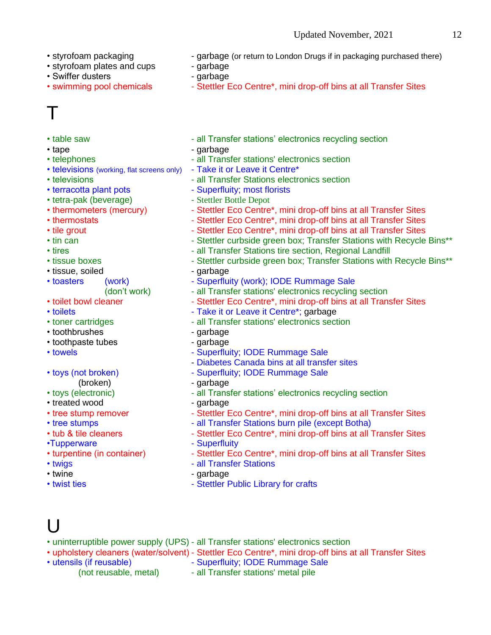- 
- styrofoam plates and cups garbage
- Swiffer dusters extended to the garbage
- 

# T

- 
- 
- 
- televisions (working, flat screens only) Take it or Leave it Centre\*
- 
- 
- tetra-pak (beverage) Stettler Bottle Depot
- 
- 
- 
- 
- 
- 
- tissue, soiled garbage
- -
- 
- 
- 
- toothbrushes garbage
- toothpaste tubes garbage
- 
- 
- 
- treated wood example a garbage
- 
- 
- 
- •Tupperware Superfluity
- 
- 
- 
- 
- styrofoam packaging  $\cdot$  garbage (or return to London Drugs if in packaging purchased there)
	-
	-
- swimming pool chemicals Stettler Eco Centre\*, mini drop-off bins at all Transfer Sites
- table saw  $\blacksquare$  all Transfer stations' electronics recycling section
- tape garbage
- telephones all Transfer stations' electronics section
	-
- televisions The Community of the all Transfer Stations electronics section
- terracotta plant pots Superfluity; most florists
	-
- thermometers (mercury) Stettler Eco Centre\*, mini drop-off bins at all Transfer Sites
- thermostats **CENT CHECO CENTER** Stettler Eco Centre<sup>\*</sup>, mini drop-off bins at all Transfer Sites
- tile grout **Interpretionally 1** Stettler Eco Centre<sup>\*</sup>, mini drop-off bins at all Transfer Sites
- tin can  **Stettler curbside green box**; Transfer Stations with Recycle Bins\*\*
- tires **Internal 2** all Transfer Stations tire section, Regional Landfill
- tissue boxes Stettler curbside green box; Transfer Stations with Recycle Bins\*\*
	-
- toasters (work) Superfluity (work); IODE Rummage Sale
	- (don't work) all Transfer stations' electronics recycling section
- toilet bowl cleaner Stettler Eco Centre\*, mini drop-off bins at all Transfer Sites
- toilets  **Take it or Leave it Centre\***; garbage
- toner cartridges all Transfer stations' electronics section
	-
	-
- towels **contact and the Superfluity**; IODE Rummage Sale
	- Diabetes Canada bins at all transfer sites
- toys (not broken) Fig. 2014 Superfluity; IODE Rummage Sale
	- (broken) garbage
- toys (electronic)  **all Transfer stations' electronics recycling section** 
	-
- tree stump remover Stettler Eco Centre\*, mini drop-off bins at all Transfer Sites • tree stumps - all Transfer Stations burn pile (except Botha)
- tub & tile cleaners Stettler Eco Centre\*, mini drop-off bins at all Transfer Sites
	-
- turpentine (in container) Stettler Eco Centre\*, mini drop-off bins at all Transfer Sites
- twigs **and Transfer Stations** all Transfer Stations
- twine garbage
- twist ties **contains the Step of Stettler Public Library for crafts**

# l I

- uninterruptible power supply (UPS) all Transfer stations' electronics section
- upholstery cleaners (water/solvent) Stettler Eco Centre\*, mini drop-off bins at all Transfer Sites
- utensils (if reusable)  $\overline{\phantom{a}}$  Superfluity; IODE Rummage Sale
	- (not reusable, metal) all Transfer stations' metal pile
- 
-